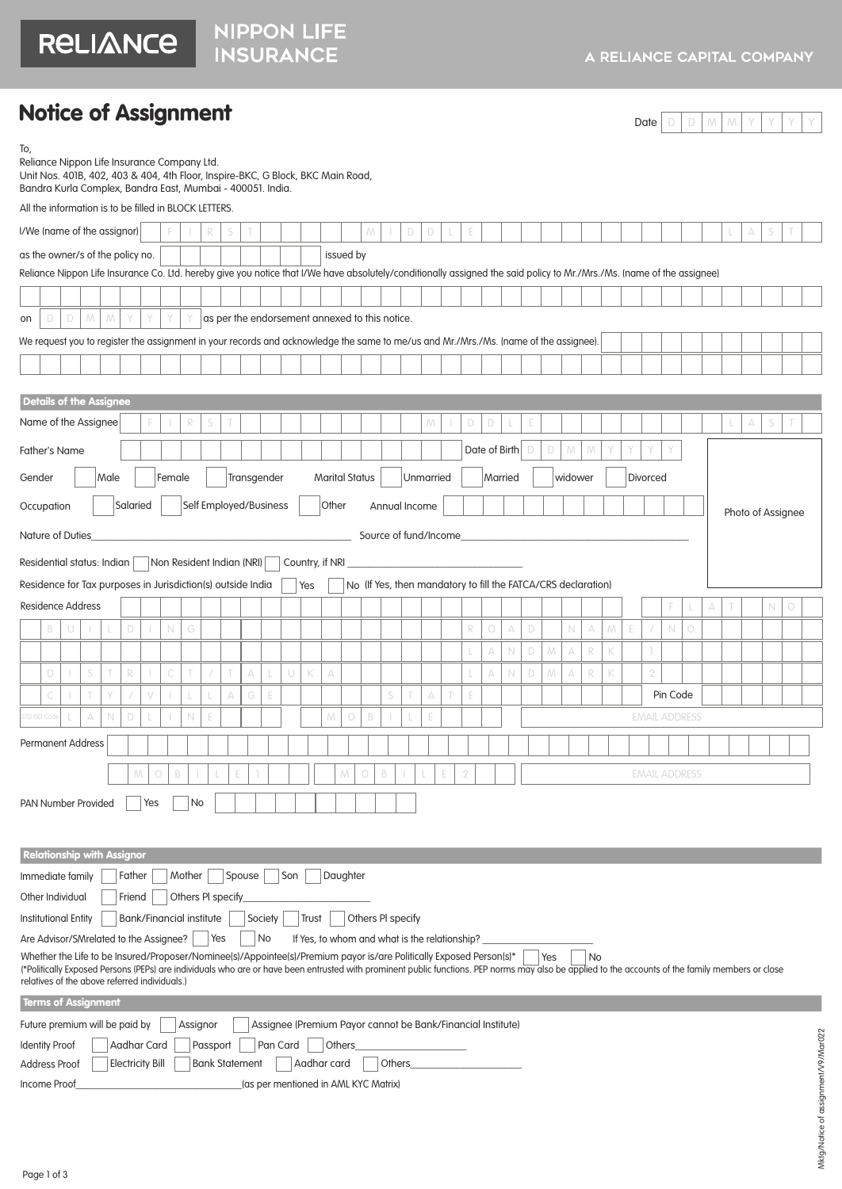RELIANCE

NIPPON LIFE<br>INSURANCE

### Notice of Assignment

Date  $D$  D  $M$   $M$   $Y$   $Y$   $Y$ 

| To,<br>Reliance Nippon Life Insurance Company Ltd.<br>Unit Nos. 401B, 402, 403 & 404, 4th Floor, Inspire-BKC, G Block, BKC Main Road,<br>Bandra Kurla Complex, Bandra East, Mumbai - 400051. India.                                                                                                                                                                                                                                                                                                                                                                                                                                                                                                                                                                                                                                                                                                                                                                                                                                                                                                                                                                                                                                                                                                                                                                                                                                                                                                                                                                                                                                                                                                                                                     |   |   |                         |  |  |   |             |          |                       |   |          |   |   |                                                             |            |             |        |   |   |   |            |             |        |   |               |   |                                                  |   |   |             |    |   |  |             |   |                   |
|---------------------------------------------------------------------------------------------------------------------------------------------------------------------------------------------------------------------------------------------------------------------------------------------------------------------------------------------------------------------------------------------------------------------------------------------------------------------------------------------------------------------------------------------------------------------------------------------------------------------------------------------------------------------------------------------------------------------------------------------------------------------------------------------------------------------------------------------------------------------------------------------------------------------------------------------------------------------------------------------------------------------------------------------------------------------------------------------------------------------------------------------------------------------------------------------------------------------------------------------------------------------------------------------------------------------------------------------------------------------------------------------------------------------------------------------------------------------------------------------------------------------------------------------------------------------------------------------------------------------------------------------------------------------------------------------------------------------------------------------------------|---|---|-------------------------|--|--|---|-------------|----------|-----------------------|---|----------|---|---|-------------------------------------------------------------|------------|-------------|--------|---|---|---|------------|-------------|--------|---|---------------|---|--------------------------------------------------|---|---|-------------|----|---|--|-------------|---|-------------------|
| All the information is to be filled in BLOCK LETTERS.                                                                                                                                                                                                                                                                                                                                                                                                                                                                                                                                                                                                                                                                                                                                                                                                                                                                                                                                                                                                                                                                                                                                                                                                                                                                                                                                                                                                                                                                                                                                                                                                                                                                                                   |   |   |                         |  |  |   |             |          |                       |   |          |   |   |                                                             |            |             |        |   |   |   |            |             |        |   |               |   |                                                  |   |   |             |    |   |  |             |   |                   |
| I/We (name of the assignor)                                                                                                                                                                                                                                                                                                                                                                                                                                                                                                                                                                                                                                                                                                                                                                                                                                                                                                                                                                                                                                                                                                                                                                                                                                                                                                                                                                                                                                                                                                                                                                                                                                                                                                                             |   |   |                         |  |  |   |             | R        | S                     |   |          |   |   |                                                             |            | M           |        | D | D |   |            |             |        |   |               |   |                                                  |   |   |             |    |   |  |             |   |                   |
|                                                                                                                                                                                                                                                                                                                                                                                                                                                                                                                                                                                                                                                                                                                                                                                                                                                                                                                                                                                                                                                                                                                                                                                                                                                                                                                                                                                                                                                                                                                                                                                                                                                                                                                                                         |   |   |                         |  |  |   |             |          |                       |   |          |   |   |                                                             |            |             |        |   |   |   |            |             |        |   |               |   |                                                  |   |   |             |    |   |  |             |   |                   |
|                                                                                                                                                                                                                                                                                                                                                                                                                                                                                                                                                                                                                                                                                                                                                                                                                                                                                                                                                                                                                                                                                                                                                                                                                                                                                                                                                                                                                                                                                                                                                                                                                                                                                                                                                         |   |   |                         |  |  |   |             |          |                       |   |          |   |   |                                                             |            |             |        |   |   |   |            |             |        |   |               |   |                                                  |   |   |             |    |   |  |             |   |                   |
|                                                                                                                                                                                                                                                                                                                                                                                                                                                                                                                                                                                                                                                                                                                                                                                                                                                                                                                                                                                                                                                                                                                                                                                                                                                                                                                                                                                                                                                                                                                                                                                                                                                                                                                                                         |   |   |                         |  |  |   |             |          |                       |   |          |   |   |                                                             |            |             |        |   |   |   |            |             |        |   |               |   |                                                  |   |   |             |    |   |  |             |   |                   |
| D<br>on                                                                                                                                                                                                                                                                                                                                                                                                                                                                                                                                                                                                                                                                                                                                                                                                                                                                                                                                                                                                                                                                                                                                                                                                                                                                                                                                                                                                                                                                                                                                                                                                                                                                                                                                                 | D |   |                         |  |  |   |             |          |                       |   |          |   |   |                                                             |            |             |        |   |   |   |            |             |        |   |               |   |                                                  |   |   |             |    |   |  |             |   |                   |
|                                                                                                                                                                                                                                                                                                                                                                                                                                                                                                                                                                                                                                                                                                                                                                                                                                                                                                                                                                                                                                                                                                                                                                                                                                                                                                                                                                                                                                                                                                                                                                                                                                                                                                                                                         |   |   |                         |  |  |   |             |          |                       |   |          |   |   |                                                             |            |             |        |   |   |   |            |             |        |   |               |   |                                                  |   |   |             |    |   |  |             |   |                   |
|                                                                                                                                                                                                                                                                                                                                                                                                                                                                                                                                                                                                                                                                                                                                                                                                                                                                                                                                                                                                                                                                                                                                                                                                                                                                                                                                                                                                                                                                                                                                                                                                                                                                                                                                                         |   |   |                         |  |  |   |             |          |                       |   |          |   |   |                                                             |            |             |        |   |   |   |            |             |        |   |               |   |                                                  |   |   |             |    |   |  |             |   |                   |
|                                                                                                                                                                                                                                                                                                                                                                                                                                                                                                                                                                                                                                                                                                                                                                                                                                                                                                                                                                                                                                                                                                                                                                                                                                                                                                                                                                                                                                                                                                                                                                                                                                                                                                                                                         |   |   |                         |  |  |   |             |          |                       |   |          |   |   |                                                             |            |             |        |   |   |   |            |             |        |   |               |   |                                                  |   |   |             |    |   |  |             |   |                   |
|                                                                                                                                                                                                                                                                                                                                                                                                                                                                                                                                                                                                                                                                                                                                                                                                                                                                                                                                                                                                                                                                                                                                                                                                                                                                                                                                                                                                                                                                                                                                                                                                                                                                                                                                                         |   |   |                         |  |  |   |             |          |                       |   |          |   |   |                                                             |            |             |        |   |   |   |            |             |        |   |               |   |                                                  |   |   |             |    |   |  |             |   |                   |
|                                                                                                                                                                                                                                                                                                                                                                                                                                                                                                                                                                                                                                                                                                                                                                                                                                                                                                                                                                                                                                                                                                                                                                                                                                                                                                                                                                                                                                                                                                                                                                                                                                                                                                                                                         |   |   |                         |  |  |   |             |          |                       |   |          |   |   |                                                             |            |             |        |   |   |   |            |             |        |   |               |   |                                                  |   |   |             |    |   |  |             |   |                   |
|                                                                                                                                                                                                                                                                                                                                                                                                                                                                                                                                                                                                                                                                                                                                                                                                                                                                                                                                                                                                                                                                                                                                                                                                                                                                                                                                                                                                                                                                                                                                                                                                                                                                                                                                                         |   |   |                         |  |  |   |             |          |                       |   |          |   |   |                                                             |            |             |        |   |   |   |            |             | D      | D | $\mathcal{N}$ | M |                                                  |   |   |             |    |   |  |             |   |                   |
| Gender                                                                                                                                                                                                                                                                                                                                                                                                                                                                                                                                                                                                                                                                                                                                                                                                                                                                                                                                                                                                                                                                                                                                                                                                                                                                                                                                                                                                                                                                                                                                                                                                                                                                                                                                                  |   |   |                         |  |  |   |             |          |                       |   |          |   |   |                                                             |            |             |        |   |   |   |            |             |        |   |               |   |                                                  |   |   |             |    |   |  |             |   |                   |
|                                                                                                                                                                                                                                                                                                                                                                                                                                                                                                                                                                                                                                                                                                                                                                                                                                                                                                                                                                                                                                                                                                                                                                                                                                                                                                                                                                                                                                                                                                                                                                                                                                                                                                                                                         |   |   |                         |  |  |   |             |          |                       |   |          |   |   |                                                             |            |             |        |   |   |   |            |             |        |   |               |   |                                                  |   |   |             |    |   |  |             |   |                   |
|                                                                                                                                                                                                                                                                                                                                                                                                                                                                                                                                                                                                                                                                                                                                                                                                                                                                                                                                                                                                                                                                                                                                                                                                                                                                                                                                                                                                                                                                                                                                                                                                                                                                                                                                                         |   |   |                         |  |  |   |             |          |                       |   |          |   |   |                                                             |            |             |        |   |   |   |            |             |        |   |               |   |                                                  |   |   |             |    |   |  |             |   |                   |
|                                                                                                                                                                                                                                                                                                                                                                                                                                                                                                                                                                                                                                                                                                                                                                                                                                                                                                                                                                                                                                                                                                                                                                                                                                                                                                                                                                                                                                                                                                                                                                                                                                                                                                                                                         |   |   |                         |  |  |   |             |          |                       |   |          |   |   |                                                             |            |             |        |   |   |   |            |             |        |   |               |   |                                                  |   |   |             |    |   |  |             |   |                   |
|                                                                                                                                                                                                                                                                                                                                                                                                                                                                                                                                                                                                                                                                                                                                                                                                                                                                                                                                                                                                                                                                                                                                                                                                                                                                                                                                                                                                                                                                                                                                                                                                                                                                                                                                                         |   |   |                         |  |  |   |             |          |                       |   |          |   |   |                                                             |            |             |        |   |   |   |            |             |        |   |               |   |                                                  |   |   |             |    |   |  |             |   |                   |
|                                                                                                                                                                                                                                                                                                                                                                                                                                                                                                                                                                                                                                                                                                                                                                                                                                                                                                                                                                                                                                                                                                                                                                                                                                                                                                                                                                                                                                                                                                                                                                                                                                                                                                                                                         |   |   |                         |  |  |   |             |          |                       |   |          |   |   |                                                             |            |             |        |   |   |   |            |             |        |   |               |   |                                                  |   |   |             |    |   |  |             |   |                   |
|                                                                                                                                                                                                                                                                                                                                                                                                                                                                                                                                                                                                                                                                                                                                                                                                                                                                                                                                                                                                                                                                                                                                                                                                                                                                                                                                                                                                                                                                                                                                                                                                                                                                                                                                                         |   |   |                         |  |  |   |             |          |                       |   |          |   |   |                                                             |            |             |        |   |   |   |            |             |        |   |               |   |                                                  |   |   |             |    | Д |  | $\mathbb N$ | О |                   |
| B                                                                                                                                                                                                                                                                                                                                                                                                                                                                                                                                                                                                                                                                                                                                                                                                                                                                                                                                                                                                                                                                                                                                                                                                                                                                                                                                                                                                                                                                                                                                                                                                                                                                                                                                                       | U |   |                         |  |  | N | G           |          |                       |   |          |   |   |                                                             |            |             |        |   |   | R | $\bigcirc$ | A           | $\Box$ |   | $\mathbb N$   | А | $\mathcal{N}% _{1}\left( \mathcal{N}_{1}\right)$ | E |   | $\mathbb N$ | 0. |   |  |             |   |                   |
|                                                                                                                                                                                                                                                                                                                                                                                                                                                                                                                                                                                                                                                                                                                                                                                                                                                                                                                                                                                                                                                                                                                                                                                                                                                                                                                                                                                                                                                                                                                                                                                                                                                                                                                                                         |   |   |                         |  |  |   |             |          |                       |   |          |   |   |                                                             |            |             |        |   |   |   | А          | $\mathbb N$ | D      | M | $\wedge$      | R | Κ                                                |   |   |             |    |   |  |             |   |                   |
| D                                                                                                                                                                                                                                                                                                                                                                                                                                                                                                                                                                                                                                                                                                                                                                                                                                                                                                                                                                                                                                                                                                                                                                                                                                                                                                                                                                                                                                                                                                                                                                                                                                                                                                                                                       |   |   |                         |  |  | C |             |          |                       | A |          | U | Κ | A                                                           |            |             |        |   |   |   | А          | N           | D      | M | А             | R | K                                                |   | 2 |             |    |   |  |             |   |                   |
|                                                                                                                                                                                                                                                                                                                                                                                                                                                                                                                                                                                                                                                                                                                                                                                                                                                                                                                                                                                                                                                                                                                                                                                                                                                                                                                                                                                                                                                                                                                                                                                                                                                                                                                                                         |   |   |                         |  |  |   |             |          | А                     | G |          |   |   |                                                             |            |             | S      |   | A | E |            |             |        |   |               |   |                                                  |   |   |             |    |   |  |             |   |                   |
| TD ISD Code                                                                                                                                                                                                                                                                                                                                                                                                                                                                                                                                                                                                                                                                                                                                                                                                                                                                                                                                                                                                                                                                                                                                                                                                                                                                                                                                                                                                                                                                                                                                                                                                                                                                                                                                             |   | Д |                         |  |  |   | $\mathbb N$ |          |                       |   |          |   |   | M                                                           | $\bigcirc$ | $\mathsf B$ |        |   | F |   |            |             |        |   |               |   |                                                  |   |   |             |    |   |  |             |   |                   |
|                                                                                                                                                                                                                                                                                                                                                                                                                                                                                                                                                                                                                                                                                                                                                                                                                                                                                                                                                                                                                                                                                                                                                                                                                                                                                                                                                                                                                                                                                                                                                                                                                                                                                                                                                         |   |   |                         |  |  |   |             |          |                       |   |          |   |   |                                                             |            |             |        |   |   |   |            |             |        |   |               |   |                                                  |   |   |             |    |   |  |             |   |                   |
|                                                                                                                                                                                                                                                                                                                                                                                                                                                                                                                                                                                                                                                                                                                                                                                                                                                                                                                                                                                                                                                                                                                                                                                                                                                                                                                                                                                                                                                                                                                                                                                                                                                                                                                                                         |   |   |                         |  |  |   |             |          |                       |   |          |   |   |                                                             |            |             |        |   |   |   |            |             |        |   |               |   |                                                  |   |   |             |    |   |  |             |   |                   |
| as the owner/s of the policy no.<br>issued by<br>Reliance Nippon Life Insurance Co. Ltd. hereby give you notice that I/We have absolutely/conditionally assigned the said policy to Mr./Mrs./Ms. (name of the assignee)<br>M<br>M<br>as per the endorsement annexed to this notice.<br>We request you to register the assignment in your records and acknowledge the same to me/us and Mr./Mrs./Ms. (name of the assignee).<br><b>Details of the Assignee</b><br>Name of the Assignee<br>M<br>D<br>D<br>А<br>Date of Birth<br>Father's Name<br><b>Marital Status</b><br>Transgender<br>Unmarried<br>Married<br>widower<br>Divorced<br>Male<br>Female<br>Self Employed/Business<br>Occupation<br>Salaried<br>Other<br>Annual Income<br>Photo of Assignee<br>Nature of Duties<br>Source of fund/Income<br>Non Resident Indian (NRI)<br>Residential status: Indian<br>Country, if NRI<br>No (If Yes, then mandatory to fill the FATCA/CRS declaration)<br>Residence for Tax purposes in Jurisdiction(s) outside India<br>Yes<br>Residence Address<br>$\Box$<br>R<br>S<br>$\vee$<br>Pin Code<br>$\mathbb N$<br>D<br><b>EMAIL ADDRESS</b><br><b>Permanent Address</b><br>R<br><b>FMAIL ADDRESS</b><br><b>PAN Number Provided</b><br>No<br>Yes<br><b>Relationship with Assignor</b><br>Daughter<br>Immediate family<br>Father<br>Mother<br>Spouse  <br>Son<br>Other Individual<br>Friend<br>Others PI specify<br><b>Bank/Financial institute</b><br>Others PI specify<br>Institutional Entity<br>Society<br>Trust<br>Are Advisor/SMrelated to the Assignee?<br>Yes<br>No<br>If Yes, to whom and what is the relationship?<br>Whether the Life to be Insured/Proposer/Nominee(s)/Appointee(s)/Premium payor is/are Politically Exposed Person(s)*<br>Yes<br>No |   |   |                         |  |  |   |             |          |                       |   |          |   |   |                                                             |            |             |        |   |   |   |            |             |        |   |               |   |                                                  |   |   |             |    |   |  |             |   |                   |
|                                                                                                                                                                                                                                                                                                                                                                                                                                                                                                                                                                                                                                                                                                                                                                                                                                                                                                                                                                                                                                                                                                                                                                                                                                                                                                                                                                                                                                                                                                                                                                                                                                                                                                                                                         |   |   |                         |  |  |   |             |          |                       |   |          |   |   |                                                             |            |             |        |   |   |   |            |             |        |   |               |   |                                                  |   |   |             |    |   |  |             |   |                   |
|                                                                                                                                                                                                                                                                                                                                                                                                                                                                                                                                                                                                                                                                                                                                                                                                                                                                                                                                                                                                                                                                                                                                                                                                                                                                                                                                                                                                                                                                                                                                                                                                                                                                                                                                                         |   |   |                         |  |  |   |             |          |                       |   |          |   |   |                                                             |            |             |        |   |   |   |            |             |        |   |               |   |                                                  |   |   |             |    |   |  |             |   |                   |
|                                                                                                                                                                                                                                                                                                                                                                                                                                                                                                                                                                                                                                                                                                                                                                                                                                                                                                                                                                                                                                                                                                                                                                                                                                                                                                                                                                                                                                                                                                                                                                                                                                                                                                                                                         |   |   |                         |  |  |   |             |          |                       |   |          |   |   |                                                             |            |             |        |   |   |   |            |             |        |   |               |   |                                                  |   |   |             |    |   |  |             |   |                   |
|                                                                                                                                                                                                                                                                                                                                                                                                                                                                                                                                                                                                                                                                                                                                                                                                                                                                                                                                                                                                                                                                                                                                                                                                                                                                                                                                                                                                                                                                                                                                                                                                                                                                                                                                                         |   |   |                         |  |  |   |             |          |                       |   |          |   |   |                                                             |            |             |        |   |   |   |            |             |        |   |               |   |                                                  |   |   |             |    |   |  |             |   |                   |
|                                                                                                                                                                                                                                                                                                                                                                                                                                                                                                                                                                                                                                                                                                                                                                                                                                                                                                                                                                                                                                                                                                                                                                                                                                                                                                                                                                                                                                                                                                                                                                                                                                                                                                                                                         |   |   |                         |  |  |   |             |          |                       |   |          |   |   |                                                             |            |             |        |   |   |   |            |             |        |   |               |   |                                                  |   |   |             |    |   |  |             |   |                   |
|                                                                                                                                                                                                                                                                                                                                                                                                                                                                                                                                                                                                                                                                                                                                                                                                                                                                                                                                                                                                                                                                                                                                                                                                                                                                                                                                                                                                                                                                                                                                                                                                                                                                                                                                                         |   |   |                         |  |  |   |             |          |                       |   |          |   |   |                                                             |            |             |        |   |   |   |            |             |        |   |               |   |                                                  |   |   |             |    |   |  |             |   |                   |
|                                                                                                                                                                                                                                                                                                                                                                                                                                                                                                                                                                                                                                                                                                                                                                                                                                                                                                                                                                                                                                                                                                                                                                                                                                                                                                                                                                                                                                                                                                                                                                                                                                                                                                                                                         |   |   |                         |  |  |   |             |          |                       |   |          |   |   |                                                             |            |             |        |   |   |   |            |             |        |   |               |   |                                                  |   |   |             |    |   |  |             |   |                   |
| (*Politically Exposed Persons (PEPs) are individuals who are or have been entrusted with prominent public functions. PEP norms may also be applied to the accounts of the family members or close<br>relatives of the above referred individuals.)                                                                                                                                                                                                                                                                                                                                                                                                                                                                                                                                                                                                                                                                                                                                                                                                                                                                                                                                                                                                                                                                                                                                                                                                                                                                                                                                                                                                                                                                                                      |   |   |                         |  |  |   |             |          |                       |   |          |   |   |                                                             |            |             |        |   |   |   |            |             |        |   |               |   |                                                  |   |   |             |    |   |  |             |   |                   |
| <b>Terms of Assignment</b>                                                                                                                                                                                                                                                                                                                                                                                                                                                                                                                                                                                                                                                                                                                                                                                                                                                                                                                                                                                                                                                                                                                                                                                                                                                                                                                                                                                                                                                                                                                                                                                                                                                                                                                              |   |   |                         |  |  |   |             |          |                       |   |          |   |   |                                                             |            |             |        |   |   |   |            |             |        |   |               |   |                                                  |   |   |             |    |   |  |             |   |                   |
| Future premium will be paid by                                                                                                                                                                                                                                                                                                                                                                                                                                                                                                                                                                                                                                                                                                                                                                                                                                                                                                                                                                                                                                                                                                                                                                                                                                                                                                                                                                                                                                                                                                                                                                                                                                                                                                                          |   |   |                         |  |  |   |             | Assignor |                       |   |          |   |   | Assignee (Premium Payor cannot be Bank/Financial Institute) |            |             |        |   |   |   |            |             |        |   |               |   |                                                  |   |   |             |    |   |  |             |   |                   |
| <b>Identity Proof</b>                                                                                                                                                                                                                                                                                                                                                                                                                                                                                                                                                                                                                                                                                                                                                                                                                                                                                                                                                                                                                                                                                                                                                                                                                                                                                                                                                                                                                                                                                                                                                                                                                                                                                                                                   |   |   | Aadhar Card             |  |  |   |             | Passport |                       |   | Pan Card |   |   | Others                                                      |            |             |        |   |   |   |            |             |        |   |               |   |                                                  |   |   |             |    |   |  |             |   | ignment/V9/Mar022 |
| <b>Address Proof</b>                                                                                                                                                                                                                                                                                                                                                                                                                                                                                                                                                                                                                                                                                                                                                                                                                                                                                                                                                                                                                                                                                                                                                                                                                                                                                                                                                                                                                                                                                                                                                                                                                                                                                                                                    |   |   | <b>Electricity Bill</b> |  |  |   |             |          | <b>Bank Statement</b> |   |          |   |   | Aadhar card                                                 |            |             | Others |   |   |   |            |             |        |   |               |   |                                                  |   |   |             |    |   |  |             |   |                   |
| Income Proof                                                                                                                                                                                                                                                                                                                                                                                                                                                                                                                                                                                                                                                                                                                                                                                                                                                                                                                                                                                                                                                                                                                                                                                                                                                                                                                                                                                                                                                                                                                                                                                                                                                                                                                                            |   |   |                         |  |  |   |             |          |                       |   |          |   |   | (as per mentioned in AML KYC Matrix)                        |            |             |        |   |   |   |            |             |        |   |               |   |                                                  |   |   |             |    |   |  |             |   |                   |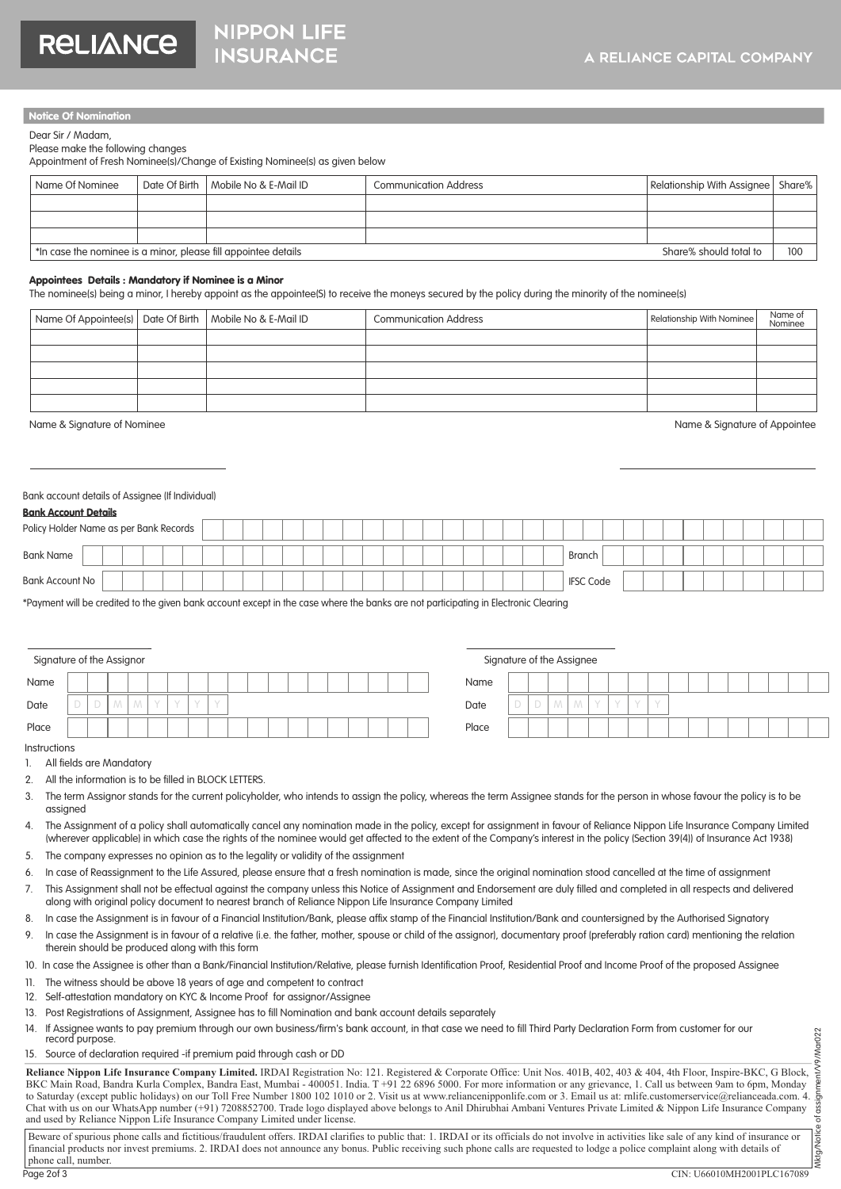#### Notice Of Nomination

Dear Sir / Madam,

#### Please make the following changes

**RELIANCE** 

Appointment of Fresh Nominee(s)/Change of Existing Nominee(s) as given below

**NIPPON LIFE** 

**INSURANCE** 

| Name Of Nominee                                                | Date Of Birth   Mobile No & E-Mail ID | <b>Communication Address</b> | Relationship With Assignee   Share% |     |
|----------------------------------------------------------------|---------------------------------------|------------------------------|-------------------------------------|-----|
|                                                                |                                       |                              |                                     |     |
|                                                                |                                       |                              |                                     |     |
|                                                                |                                       |                              |                                     |     |
| *In case the nominee is a minor, please fill appointee details |                                       |                              | Share% should total to              | 100 |

#### Appointees Details : Mandatory if Nominee is a Minor

The nominee(s) being a minor, I hereby appoint as the appointee(S) to receive the moneys secured by the policy during the minority of the nominee(s)

| Name Of Appointee(s)   Date Of Birth   Mobile No & E-Mail ID |  | <b>Communication Address</b> | Relationship With Nominee | Name of<br>Nominee |
|--------------------------------------------------------------|--|------------------------------|---------------------------|--------------------|
|                                                              |  |                              |                           |                    |
|                                                              |  |                              |                           |                    |
|                                                              |  |                              |                           |                    |
|                                                              |  |                              |                           |                    |
|                                                              |  |                              |                           |                    |

Name & Signature of Nominee Name and Signature of Appointee

Bank Account Details

#### Bank account details of Assignee (If Individual)

| <b>DUITK ACCOUNT DETAILS</b>           |  |  |  |  |  |  |  |  |  |  |  |  |        |                  |  |  |  |  |  |  |
|----------------------------------------|--|--|--|--|--|--|--|--|--|--|--|--|--------|------------------|--|--|--|--|--|--|
| Policy Holder Name as per Bank Records |  |  |  |  |  |  |  |  |  |  |  |  |        |                  |  |  |  |  |  |  |
| <b>Bank Name</b>                       |  |  |  |  |  |  |  |  |  |  |  |  | Branch |                  |  |  |  |  |  |  |
| Bank Account No                        |  |  |  |  |  |  |  |  |  |  |  |  |        | <b>IFSC Code</b> |  |  |  |  |  |  |

\*Payment will be credited to the given bank account except in the case where the banks are not participating in Electronic Clearing

| Signature of the Assignor |  |  |  |  |  |  |  |  |  | Signature of the Assignee |  |   |  |  |
|---------------------------|--|--|--|--|--|--|--|--|--|---------------------------|--|---|--|--|
| Name                      |  |  |  |  |  |  |  |  |  | Name                      |  |   |  |  |
| Date                      |  |  |  |  |  |  |  |  |  | Date                      |  | M |  |  |
| Place                     |  |  |  |  |  |  |  |  |  | Place                     |  |   |  |  |

| Signature of the Assignee |  |   |   |  |  |  |  |  |  |
|---------------------------|--|---|---|--|--|--|--|--|--|
| Name                      |  |   |   |  |  |  |  |  |  |
| Date                      |  | M | M |  |  |  |  |  |  |
| Place                     |  |   |   |  |  |  |  |  |  |

Instructions

- 1. All fields are Mandatory
- 2. All the information is to be filled in BLOCK LETTERS.
- 3. The term Assignor stands for the current policyholder, who intends to assign the policy, whereas the term Assignee stands for the person in whose favour the policy is to be assigned
- 4. The Assignment of a policy shall automatically cancel any nomination made in the policy, except for assignment in favour of Reliance Nippon Life Insurance Company Limited (wherever applicable) in which case the rights of the nominee would get affected to the extent of the Companys interest in the policy (Section 39(4)) of Insurance Act 1938)
- 5. The company expresses no opinion as to the legality or validity of the assignment
- 6. In case of Reassignment to the Life Assured, please ensure that a fresh nomination is made, since the original nomination stood cancelled at the time of assignment
- 7. This Assignment shall not be effectual against the company unless this Notice of Assignment and Endorsement are duly filled and completed in all respects and delivered along with original policy document to nearest branch of Reliance Nippon Life Insurance Company Limited
- 8. In case the Assignment is in favour of a Financial Institution/Bank, please affix stamp of the Financial Institution/Bank and countersigned by the Authorised Signatory
- 9. In case the Assignment is in favour of a relative (i.e. the father, mother, spouse or child of the assignor), documentary proof (preferably ration card) mentioning the relation therein should be produced along with this form
- 10. In case the Assignee is other than a Bank/Financial Institution/Relative, please furnish Identification Proof, Residential Proof and Income Proof of the proposed Assignee
- 11. The witness should be above 18 years of age and competent to contract
- 12. Self-attestation mandatory on KYC & Income Proof for assignor/Assignee
- 13. Post Registrations of Assignment, Assignee has to fill Nomination and bank account details separately
- 14. If Assignee wants to pay premium through our own business/firm's bank account, in that case we need to fill Third Party Declaration Form from customer for our record purpose.
- 15. Source of declaration required -if premium paid through cash or DD

**Reliance Nippon Life Insurance Company Limited.** IRDAI Registration No: 121. Registered & Corporate Office: Unit Nos. 401B, 402, 403 & 404, 4th Floor, Inspire-BKC, G Block, BKC Main Road, Bandra Kurla Complex, Bandra East, Mumbai - 400051. India. T +91 22 6896 5000. For more information or any grievance, 1. Call us between 9am to 6pm, Monday 14. It Assignee wants to pay premium inrough our own business/iirm's bank account, in find case we need to fill Inira Parry Declaration Form from customer for our<br>
15. Source of declaration required -if premium paid throu Chat with us on our WhatsApp number (+91) 7208852700. Trade logo displayed above belongs to Anil Dhirubhai Ambani Ventures Private Limited & Nippon Life Insurance Company and used by Reliance Nippon Life Insurance Company Limited under license. Mktg/Notice of assignment/V9/Mar022

Beware of spurious phone calls and fictitious/fraudulent offers. IRDAI clarifies to public that: 1. IRDAI or its officials do not involve in activities like sale of any kind of insurance or financial products nor invest premiums. 2. IRDAI does not announce any bonus. Public receiving such phone calls are requested to lodge a police complaint along with details of phone call, number. Page 2of 3